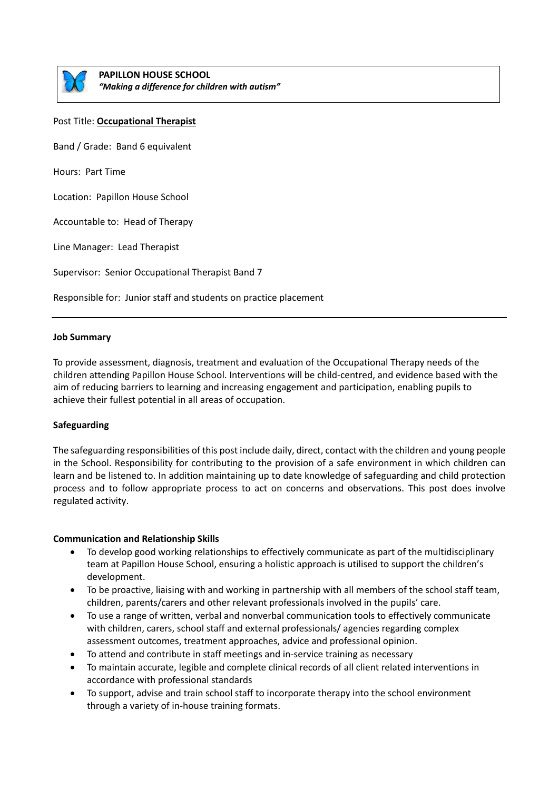

**PAPILLON HOUSE SCHOOL** *"Making a difference for children with autism"* 

#### Post Title: **Occupational Therapist**

Band / Grade: Band 6 equivalent

Hours: Part Time

Location: Papillon House School

Accountable to: Head of Therapy

Line Manager: Lead Therapist

Supervisor: Senior Occupational Therapist Band 7

Responsible for: Junior staff and students on practice placement

#### **Job Summary**

To provide assessment, diagnosis, treatment and evaluation of the Occupational Therapy needs of the children attending Papillon House School. Interventions will be child-centred, and evidence based with the aim of reducing barriers to learning and increasing engagement and participation, enabling pupils to achieve their fullest potential in all areas of occupation.

#### **Safeguarding**

The safeguarding responsibilities of this post include daily, direct, contact with the children and young people in the School. Responsibility for contributing to the provision of a safe environment in which children can learn and be listened to. In addition maintaining up to date knowledge of safeguarding and child protection process and to follow appropriate process to act on concerns and observations. This post does involve regulated activity.

#### **Communication and Relationship Skills**

- To develop good working relationships to effectively communicate as part of the multidisciplinary team at Papillon House School, ensuring a holistic approach is utilised to support the children's development.
- To be proactive, liaising with and working in partnership with all members of the school staff team, children, parents/carers and other relevant professionals involved in the pupils' care.
- To use a range of written, verbal and nonverbal communication tools to effectively communicate with children, carers, school staff and external professionals/ agencies regarding complex assessment outcomes, treatment approaches, advice and professional opinion.
- To attend and contribute in staff meetings and in-service training as necessary
- To maintain accurate, legible and complete clinical records of all client related interventions in accordance with professional standards
- To support, advise and train school staff to incorporate therapy into the school environment through a variety of in-house training formats.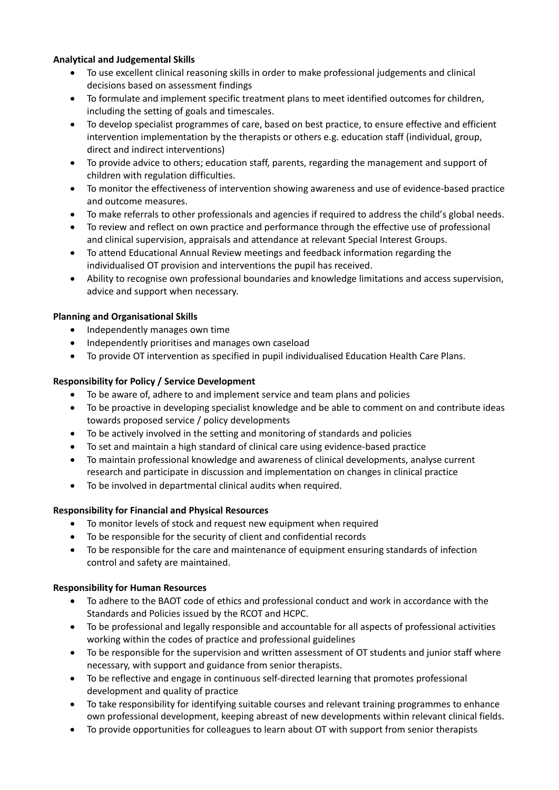# **Analytical and Judgemental Skills**

- To use excellent clinical reasoning skills in order to make professional judgements and clinical decisions based on assessment findings
- To formulate and implement specific treatment plans to meet identified outcomes for children, including the setting of goals and timescales.
- To develop specialist programmes of care, based on best practice, to ensure effective and efficient intervention implementation by the therapists or others e.g. education staff (individual, group, direct and indirect interventions)
- To provide advice to others; education staff, parents, regarding the management and support of children with regulation difficulties.
- To monitor the effectiveness of intervention showing awareness and use of evidence-based practice and outcome measures.
- To make referrals to other professionals and agencies if required to address the child's global needs.
- To review and reflect on own practice and performance through the effective use of professional and clinical supervision, appraisals and attendance at relevant Special Interest Groups.
- To attend Educational Annual Review meetings and feedback information regarding the individualised OT provision and interventions the pupil has received.
- Ability to recognise own professional boundaries and knowledge limitations and access supervision, advice and support when necessary.

## **Planning and Organisational Skills**

- Independently manages own time
- Independently prioritises and manages own caseload
- To provide OT intervention as specified in pupil individualised Education Health Care Plans.

# **Responsibility for Policy / Service Development**

- To be aware of, adhere to and implement service and team plans and policies
- To be proactive in developing specialist knowledge and be able to comment on and contribute ideas towards proposed service / policy developments
- To be actively involved in the setting and monitoring of standards and policies
- To set and maintain a high standard of clinical care using evidence-based practice
- To maintain professional knowledge and awareness of clinical developments, analyse current research and participate in discussion and implementation on changes in clinical practice
- To be involved in departmental clinical audits when required.

# **Responsibility for Financial and Physical Resources**

- To monitor levels of stock and request new equipment when required
- To be responsible for the security of client and confidential records
- To be responsible for the care and maintenance of equipment ensuring standards of infection control and safety are maintained.

# **Responsibility for Human Resources**

- To adhere to the BAOT code of ethics and professional conduct and work in accordance with the Standards and Policies issued by the RCOT and HCPC.
- To be professional and legally responsible and accountable for all aspects of professional activities working within the codes of practice and professional guidelines
- To be responsible for the supervision and written assessment of OT students and junior staff where necessary, with support and guidance from senior therapists.
- To be reflective and engage in continuous self-directed learning that promotes professional development and quality of practice
- To take responsibility for identifying suitable courses and relevant training programmes to enhance own professional development, keeping abreast of new developments within relevant clinical fields.
- To provide opportunities for colleagues to learn about OT with support from senior therapists